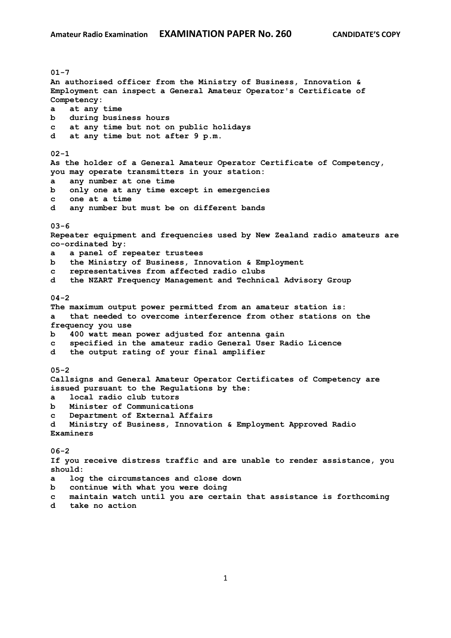**01-7 An authorised officer from the Ministry of Business, Innovation & Employment can inspect a General Amateur Operator's Certificate of Competency: a at any time b during business hours c at any time but not on public holidays d at any time but not after 9 p.m. 02-1 As the holder of a General Amateur Operator Certificate of Competency, you may operate transmitters in your station: a any number at one time b only one at any time except in emergencies c one at a time d any number but must be on different bands 03-6 Repeater equipment and frequencies used by New Zealand radio amateurs are co-ordinated by: a a panel of repeater trustees b the Ministry of Business, Innovation & Employment c representatives from affected radio clubs d the NZART Frequency Management and Technical Advisory Group 04-2 The maximum output power permitted from an amateur station is: a that needed to overcome interference from other stations on the frequency you use b 400 watt mean power adjusted for antenna gain c specified in the amateur radio General User Radio Licence d the output rating of your final amplifier 05-2 Callsigns and General Amateur Operator Certificates of Competency are issued pursuant to the Regulations by the: a local radio club tutors b Minister of Communications c Department of External Affairs d Ministry of Business, Innovation & Employment Approved Radio Examiners 06-2 If you receive distress traffic and are unable to render assistance, you should: a log the circumstances and close down b continue with what you were doing c maintain watch until you are certain that assistance is forthcoming**

**d take no action**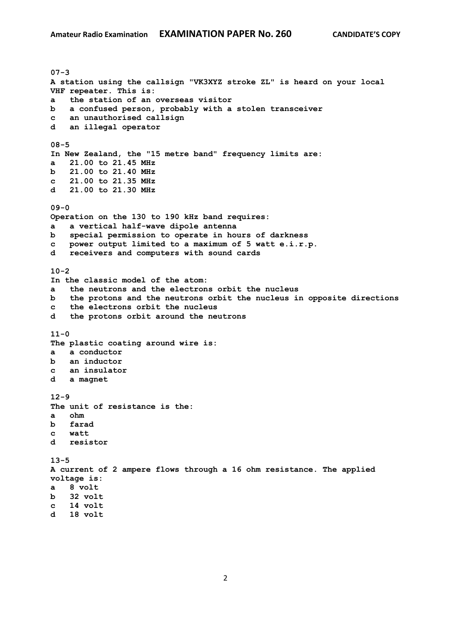**07-3 A station using the callsign "VK3XYZ stroke ZL" is heard on your local VHF repeater. This is: a the station of an overseas visitor b a confused person, probably with a stolen transceiver c an unauthorised callsign d an illegal operator 08-5 In New Zealand, the "15 metre band" frequency limits are: a 21.00 to 21.45 MHz b 21.00 to 21.40 MHz c 21.00 to 21.35 MHz d 21.00 to 21.30 MHz 09-0 Operation on the 130 to 190 kHz band requires: a a vertical half-wave dipole antenna b special permission to operate in hours of darkness c power output limited to a maximum of 5 watt e.i.r.p. d receivers and computers with sound cards 10-2 In the classic model of the atom: a the neutrons and the electrons orbit the nucleus b the protons and the neutrons orbit the nucleus in opposite directions c the electrons orbit the nucleus d the protons orbit around the neutrons 11-0 The plastic coating around wire is: a a conductor b an inductor c an insulator d a magnet 12-9 The unit of resistance is the: a ohm b farad c watt d resistor 13-5 A current of 2 ampere flows through a 16 ohm resistance. The applied voltage is: a 8 volt b 32 volt c 14 volt d 18 volt**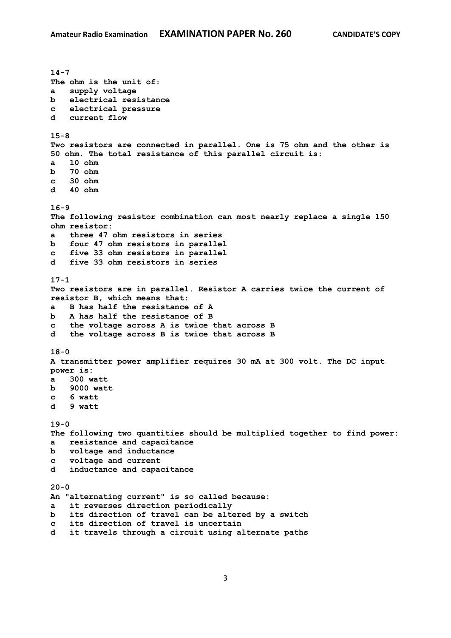**14-7 The ohm is the unit of: a supply voltage b electrical resistance c electrical pressure d current flow 15-8 Two resistors are connected in parallel. One is 75 ohm and the other is 50 ohm. The total resistance of this parallel circuit is: a 10 ohm b 70 ohm c 30 ohm d 40 ohm 16-9 The following resistor combination can most nearly replace a single 150 ohm resistor: a three 47 ohm resistors in series b four 47 ohm resistors in parallel c five 33 ohm resistors in parallel d five 33 ohm resistors in series 17-1 Two resistors are in parallel. Resistor A carries twice the current of resistor B, which means that: a B has half the resistance of A b A has half the resistance of B c the voltage across A is twice that across B d the voltage across B is twice that across B 18-0 A transmitter power amplifier requires 30 mA at 300 volt. The DC input power is: a 300 watt b 9000 watt c 6 watt d 9 watt 19-0 The following two quantities should be multiplied together to find power: a resistance and capacitance b voltage and inductance c voltage and current d inductance and capacitance 20-0 An "alternating current" is so called because: a it reverses direction periodically b its direction of travel can be altered by a switch c its direction of travel is uncertain d it travels through a circuit using alternate paths**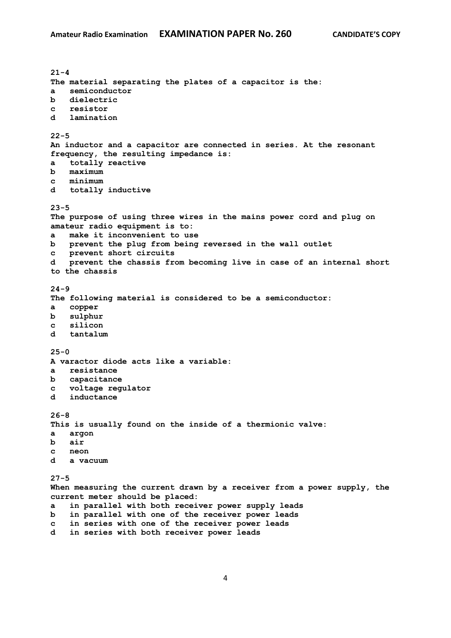**21-4 The material separating the plates of a capacitor is the: a semiconductor b dielectric c resistor d lamination 22-5 An inductor and a capacitor are connected in series. At the resonant frequency, the resulting impedance is: a totally reactive b maximum c minimum d totally inductive 23-5 The purpose of using three wires in the mains power cord and plug on amateur radio equipment is to: a make it inconvenient to use b prevent the plug from being reversed in the wall outlet c prevent short circuits d prevent the chassis from becoming live in case of an internal short to the chassis 24-9 The following material is considered to be a semiconductor: a copper b sulphur c silicon d tantalum 25-0 A varactor diode acts like a variable: a resistance b capacitance c voltage regulator d inductance 26-8 This is usually found on the inside of a thermionic valve: a argon b air c neon d a vacuum 27-5 When measuring the current drawn by a receiver from a power supply, the current meter should be placed: a in parallel with both receiver power supply leads b in parallel with one of the receiver power leads c in series with one of the receiver power leads**

**d in series with both receiver power leads**

4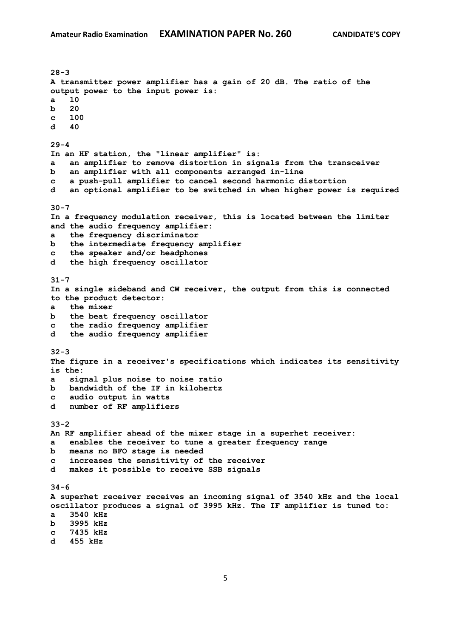**28-3 A transmitter power amplifier has a gain of 20 dB. The ratio of the output power to the input power is: a 10 b 20 c 100 d 40 29-4 In an HF station, the "linear amplifier" is: a an amplifier to remove distortion in signals from the transceiver b an amplifier with all components arranged in-line c a push-pull amplifier to cancel second harmonic distortion d an optional amplifier to be switched in when higher power is required 30-7 In a frequency modulation receiver, this is located between the limiter and the audio frequency amplifier: a the frequency discriminator b the intermediate frequency amplifier c the speaker and/or headphones d the high frequency oscillator 31-7 In a single sideband and CW receiver, the output from this is connected to the product detector: a the mixer b the beat frequency oscillator c the radio frequency amplifier d the audio frequency amplifier 32-3 The figure in a receiver's specifications which indicates its sensitivity is the: a signal plus noise to noise ratio b bandwidth of the IF in kilohertz c audio output in watts d number of RF amplifiers 33-2 An RF amplifier ahead of the mixer stage in a superhet receiver: a enables the receiver to tune a greater frequency range b means no BFO stage is needed c increases the sensitivity of the receiver d makes it possible to receive SSB signals 34-6 A superhet receiver receives an incoming signal of 3540 kHz and the local oscillator produces a signal of 3995 kHz. The IF amplifier is tuned to: a 3540 kHz b 3995 kHz c 7435 kHz d 455 kHz**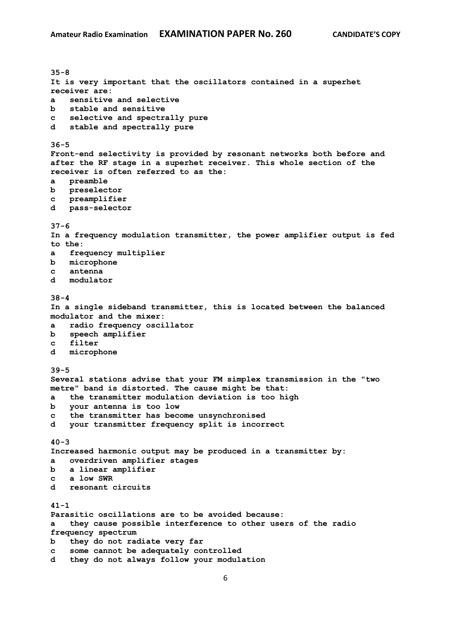**35-8 It is very important that the oscillators contained in a superhet receiver are: a sensitive and selective b stable and sensitive c selective and spectrally pure d stable and spectrally pure 36-5 Front-end selectivity is provided by resonant networks both before and after the RF stage in a superhet receiver. This whole section of the receiver is often referred to as the: a preamble b preselector c preamplifier d pass-selector 37-6 In a frequency modulation transmitter, the power amplifier output is fed to the: a frequency multiplier b microphone c antenna d modulator 38-4 In a single sideband transmitter, this is located between the balanced modulator and the mixer: a radio frequency oscillator b speech amplifier c filter d microphone 39-5 Several stations advise that your FM simplex transmission in the "two metre" band is distorted. The cause might be that: a the transmitter modulation deviation is too high b your antenna is too low c the transmitter has become unsynchronised d your transmitter frequency split is incorrect 40-3 Increased harmonic output may be produced in a transmitter by: a overdriven amplifier stages b a linear amplifier c a low SWR d resonant circuits 41-1 Parasitic oscillations are to be avoided because: a they cause possible interference to other users of the radio frequency spectrum b they do not radiate very far c some cannot be adequately controlled d they do not always follow your modulation**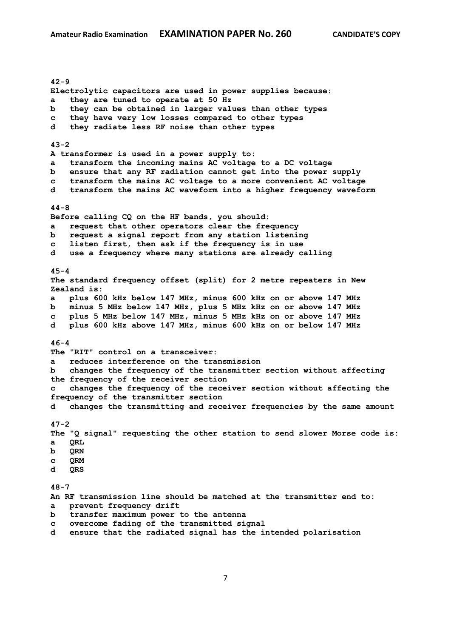**42-9 Electrolytic capacitors are used in power supplies because: a they are tuned to operate at 50 Hz b they can be obtained in larger values than other types c they have very low losses compared to other types d they radiate less RF noise than other types 43-2 A transformer is used in a power supply to: a transform the incoming mains AC voltage to a DC voltage b ensure that any RF radiation cannot get into the power supply c transform the mains AC voltage to a more convenient AC voltage d transform the mains AC waveform into a higher frequency waveform 44-8 Before calling CQ on the HF bands, you should: a request that other operators clear the frequency b request a signal report from any station listening c listen first, then ask if the frequency is in use d use a frequency where many stations are already calling 45-4 The standard frequency offset (split) for 2 metre repeaters in New Zealand is: a plus 600 kHz below 147 MHz, minus 600 kHz on or above 147 MHz b minus 5 MHz below 147 MHz, plus 5 MHz kHz on or above 147 MHz c plus 5 MHz below 147 MHz, minus 5 MHz kHz on or above 147 MHz d plus 600 kHz above 147 MHz, minus 600 kHz on or below 147 MHz 46-4 The "RIT" control on a transceiver: a reduces interference on the transmission b changes the frequency of the transmitter section without affecting the frequency of the receiver section c changes the frequency of the receiver section without affecting the frequency of the transmitter section d changes the transmitting and receiver frequencies by the same amount 47-2 The "Q signal" requesting the other station to send slower Morse code is: a QRL b QRN c QRM d QRS 48-7 An RF transmission line should be matched at the transmitter end to: a prevent frequency drift b transfer maximum power to the antenna c overcome fading of the transmitted signal d ensure that the radiated signal has the intended polarisation**

7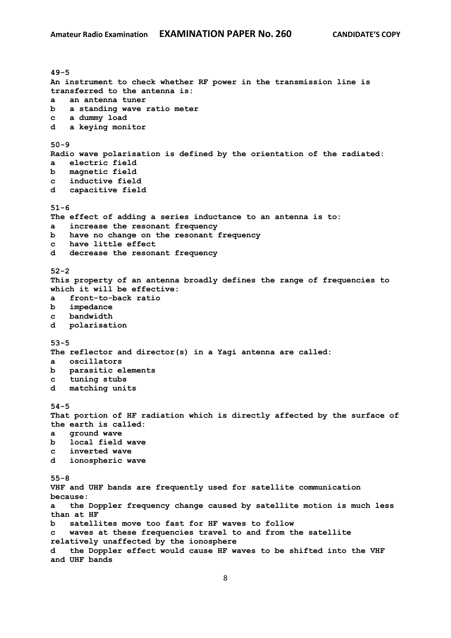**49-5 An instrument to check whether RF power in the transmission line is transferred to the antenna is: a an antenna tuner b a standing wave ratio meter c a dummy load d a keying monitor 50-9 Radio wave polarisation is defined by the orientation of the radiated: a electric field b magnetic field c inductive field d capacitive field 51-6 The effect of adding a series inductance to an antenna is to: a increase the resonant frequency b have no change on the resonant frequency c have little effect d decrease the resonant frequency 52-2 This property of an antenna broadly defines the range of frequencies to which it will be effective: a front-to-back ratio b impedance c bandwidth d polarisation 53-5 The reflector and director(s) in a Yagi antenna are called: a oscillators b parasitic elements c tuning stubs d matching units 54-5 That portion of HF radiation which is directly affected by the surface of the earth is called: a ground wave b local field wave c inverted wave d ionospheric wave 55-8 VHF and UHF bands are frequently used for satellite communication because: a the Doppler frequency change caused by satellite motion is much less than at HF b satellites move too fast for HF waves to follow c waves at these frequencies travel to and from the satellite relatively unaffected by the ionosphere d the Doppler effect would cause HF waves to be shifted into the VHF and UHF bands**